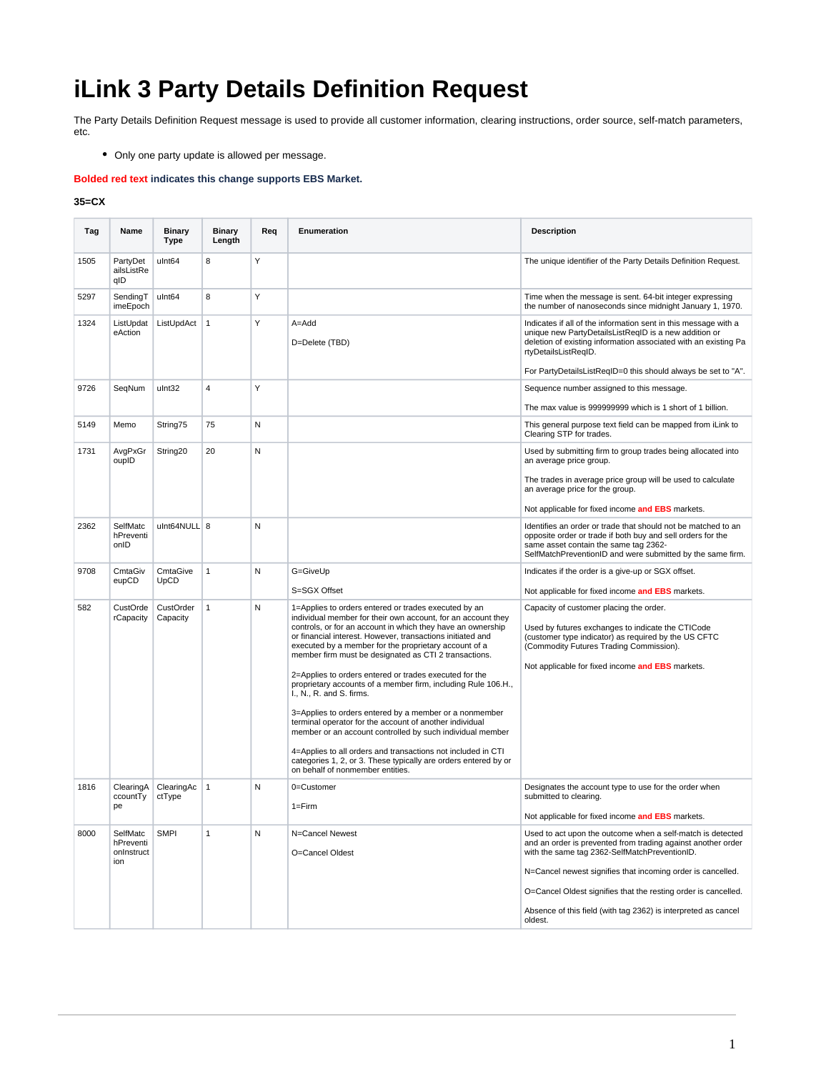## **iLink 3 Party Details Definition Request**

The Party Details Definition Request message is used to provide all customer information, clearing instructions, order source, self-match parameters, etc.

Only one party update is allowed per message.

**Bolded red text indicates this change supports EBS Market.**

## **35=CX**

| Tag  | Name                                 | <b>Binary</b><br><b>Type</b> | Binary<br>Length | Req | Enumeration                                                                                                                                                                                                                                                                                                                                                         | <b>Description</b>                                                                                                                                                                                                                                                                   |
|------|--------------------------------------|------------------------------|------------------|-----|---------------------------------------------------------------------------------------------------------------------------------------------------------------------------------------------------------------------------------------------------------------------------------------------------------------------------------------------------------------------|--------------------------------------------------------------------------------------------------------------------------------------------------------------------------------------------------------------------------------------------------------------------------------------|
| 1505 | PartyDet<br>ailsListRe<br>qID        | ulnt64                       | 8                | Y   |                                                                                                                                                                                                                                                                                                                                                                     | The unique identifier of the Party Details Definition Request.                                                                                                                                                                                                                       |
| 5297 | SendingT<br>imeEpoch                 | ulnt64                       | 8                | Y   |                                                                                                                                                                                                                                                                                                                                                                     | Time when the message is sent. 64-bit integer expressing<br>the number of nanoseconds since midnight January 1, 1970.                                                                                                                                                                |
| 1324 | ListUpdat<br>eAction                 | ListUpdAct                   | $\mathbf{1}$     | Y   | $A = Add$<br>D=Delete (TBD)                                                                                                                                                                                                                                                                                                                                         | Indicates if all of the information sent in this message with a<br>unique new PartyDetailsListRegID is a new addition or<br>deletion of existing information associated with an existing Pa<br>rtyDetailsListReqID.<br>For PartyDetailsListRegID=0 this should always be set to "A". |
| 9726 | SeqNum                               | ulnt32                       | 4                | Y   |                                                                                                                                                                                                                                                                                                                                                                     | Sequence number assigned to this message.                                                                                                                                                                                                                                            |
|      |                                      |                              |                  |     |                                                                                                                                                                                                                                                                                                                                                                     | The max value is 999999999 which is 1 short of 1 billion.                                                                                                                                                                                                                            |
| 5149 | Memo                                 | String75                     | 75               | N   |                                                                                                                                                                                                                                                                                                                                                                     | This general purpose text field can be mapped from iLink to<br>Clearing STP for trades.                                                                                                                                                                                              |
| 1731 | AvgPxGr<br>oupID                     | String20                     | 20               | N   |                                                                                                                                                                                                                                                                                                                                                                     | Used by submitting firm to group trades being allocated into<br>an average price group.                                                                                                                                                                                              |
|      |                                      |                              |                  |     |                                                                                                                                                                                                                                                                                                                                                                     | The trades in average price group will be used to calculate<br>an average price for the group.                                                                                                                                                                                       |
|      |                                      |                              |                  |     |                                                                                                                                                                                                                                                                                                                                                                     | Not applicable for fixed income and EBS markets.                                                                                                                                                                                                                                     |
| 2362 | <b>SelfMatc</b><br>hPreventi<br>onID | ulnt64NULL 8                 |                  | N   |                                                                                                                                                                                                                                                                                                                                                                     | Identifies an order or trade that should not be matched to an<br>opposite order or trade if both buy and sell orders for the<br>same asset contain the same tag 2362-<br>SelfMatchPreventionID and were submitted by the same firm.                                                  |
| 9708 | CmtaGiv<br>eupCD                     | CmtaGive<br>UpCD             | $\mathbf{1}$     | N   | G=GiveUp                                                                                                                                                                                                                                                                                                                                                            | Indicates if the order is a give-up or SGX offset.                                                                                                                                                                                                                                   |
|      |                                      |                              |                  |     | S=SGX Offset                                                                                                                                                                                                                                                                                                                                                        | Not applicable for fixed income and EBS markets.                                                                                                                                                                                                                                     |
| 582  | CustOrde<br>rCapacity                | CustOrder<br>Capacity        | $\mathbf{1}$     | N   | 1=Applies to orders entered or trades executed by an<br>individual member for their own account, for an account they<br>controls, or for an account in which they have an ownership<br>or financial interest. However, transactions initiated and<br>executed by a member for the proprietary account of a<br>member firm must be designated as CTI 2 transactions. | Capacity of customer placing the order.<br>Used by futures exchanges to indicate the CTICode<br>(customer type indicator) as required by the US CFTC<br>(Commodity Futures Trading Commission).<br>Not applicable for fixed income and EBS markets.                                  |
|      |                                      |                              |                  |     | 2=Applies to orders entered or trades executed for the<br>proprietary accounts of a member firm, including Rule 106.H.,<br>I., N., R. and S. firms.                                                                                                                                                                                                                 |                                                                                                                                                                                                                                                                                      |
|      |                                      |                              |                  |     | 3=Applies to orders entered by a member or a nonmember<br>terminal operator for the account of another individual<br>member or an account controlled by such individual member                                                                                                                                                                                      |                                                                                                                                                                                                                                                                                      |
|      |                                      |                              |                  |     | 4=Applies to all orders and transactions not included in CTI<br>categories 1, 2, or 3. These typically are orders entered by or<br>on behalf of nonmember entities.                                                                                                                                                                                                 |                                                                                                                                                                                                                                                                                      |
| 1816 | ClearingA<br>ccountTy                | ClearingAc<br>ctType         | $\mathbf{1}$     | Ν   | 0=Customer                                                                                                                                                                                                                                                                                                                                                          | Designates the account type to use for the order when<br>submitted to clearing.                                                                                                                                                                                                      |
|      | pe                                   |                              |                  |     | $1 = Firm$                                                                                                                                                                                                                                                                                                                                                          | Not applicable for fixed income and EBS markets.                                                                                                                                                                                                                                     |
| 8000 | SelfMatc<br>hPreventi                | <b>SMPI</b>                  | 1                | N   | N=Cancel Newest                                                                                                                                                                                                                                                                                                                                                     | Used to act upon the outcome when a self-match is detected<br>and an order is prevented from trading against another order                                                                                                                                                           |
|      | onInstruct<br>ion                    |                              |                  |     | O=Cancel Oldest                                                                                                                                                                                                                                                                                                                                                     | with the same tag 2362-SelfMatchPreventionID.                                                                                                                                                                                                                                        |
|      |                                      |                              |                  |     |                                                                                                                                                                                                                                                                                                                                                                     | N=Cancel newest signifies that incoming order is cancelled.                                                                                                                                                                                                                          |
|      |                                      |                              |                  |     |                                                                                                                                                                                                                                                                                                                                                                     | O=Cancel Oldest signifies that the resting order is cancelled.                                                                                                                                                                                                                       |
|      |                                      |                              |                  |     |                                                                                                                                                                                                                                                                                                                                                                     | Absence of this field (with tag 2362) is interpreted as cancel<br>oldest.                                                                                                                                                                                                            |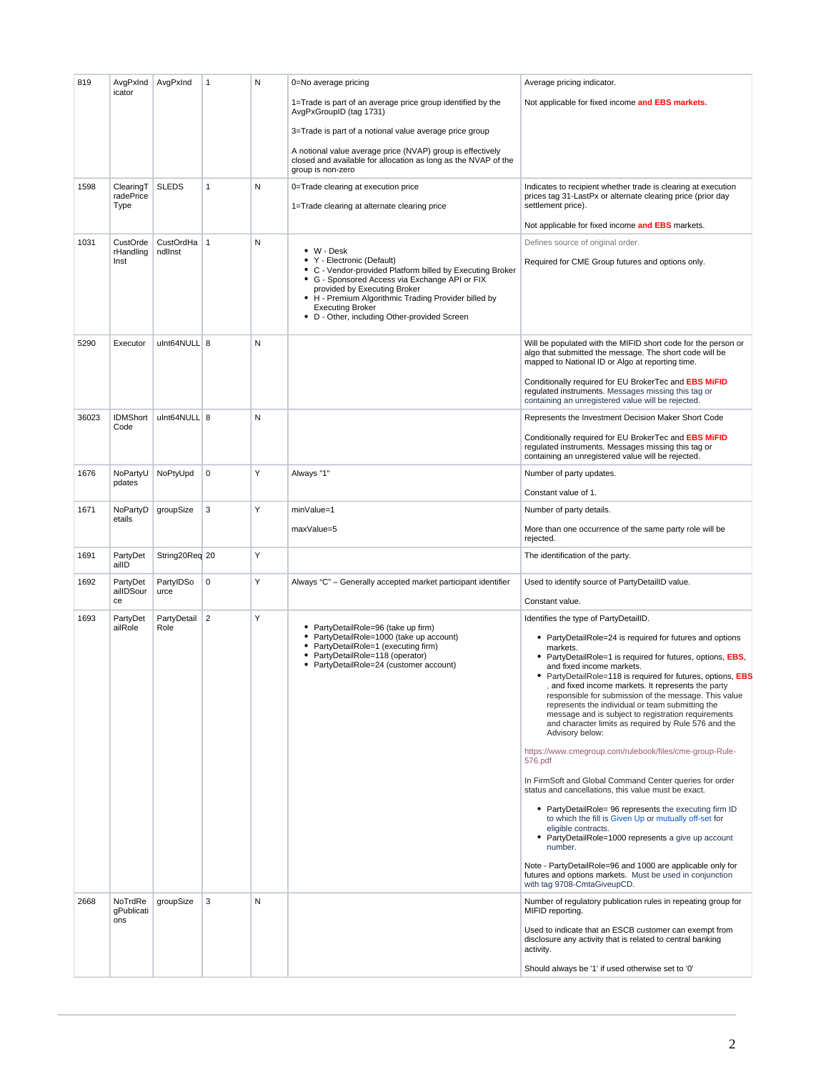| 819   | AvgPxInd<br>icator           | AvgPxInd             | $\mathbf{1}$   | N | 0=No average pricing                                                                                                                                                                                                                                                                                         | Average pricing indicator.                                                                                                                                                                                                                                                                                                                                                                                                                                                                                                           |
|-------|------------------------------|----------------------|----------------|---|--------------------------------------------------------------------------------------------------------------------------------------------------------------------------------------------------------------------------------------------------------------------------------------------------------------|--------------------------------------------------------------------------------------------------------------------------------------------------------------------------------------------------------------------------------------------------------------------------------------------------------------------------------------------------------------------------------------------------------------------------------------------------------------------------------------------------------------------------------------|
|       |                              |                      |                |   | 1=Trade is part of an average price group identified by the<br>AvgPxGroupID (tag 1731)                                                                                                                                                                                                                       | Not applicable for fixed income and EBS markets.                                                                                                                                                                                                                                                                                                                                                                                                                                                                                     |
|       |                              |                      |                |   | 3=Trade is part of a notional value average price group                                                                                                                                                                                                                                                      |                                                                                                                                                                                                                                                                                                                                                                                                                                                                                                                                      |
|       |                              |                      |                |   | A notional value average price (NVAP) group is effectively<br>closed and available for allocation as long as the NVAP of the<br>group is non-zero                                                                                                                                                            |                                                                                                                                                                                                                                                                                                                                                                                                                                                                                                                                      |
| 1598  | ClearingT<br>radePrice       | <b>SLEDS</b>         | $\mathbf{1}$   | N | 0=Trade clearing at execution price                                                                                                                                                                                                                                                                          | Indicates to recipient whether trade is clearing at execution<br>prices tag 31-LastPx or alternate clearing price (prior day                                                                                                                                                                                                                                                                                                                                                                                                         |
|       | Type                         |                      |                |   | 1=Trade clearing at alternate clearing price                                                                                                                                                                                                                                                                 | settlement price).                                                                                                                                                                                                                                                                                                                                                                                                                                                                                                                   |
|       |                              |                      |                |   |                                                                                                                                                                                                                                                                                                              | Not applicable for fixed income and EBS markets.                                                                                                                                                                                                                                                                                                                                                                                                                                                                                     |
| 1031  | CustOrde<br>rHandling        | CustOrdHa<br>ndllnst | $\overline{1}$ | N | $\bullet$ W - Desk                                                                                                                                                                                                                                                                                           | Defines source of original order.                                                                                                                                                                                                                                                                                                                                                                                                                                                                                                    |
|       | Inst                         |                      |                |   | • Y - Electronic (Default)<br>• C - Vendor-provided Platform billed by Executing Broker<br>• G - Sponsored Access via Exchange API or FIX<br>provided by Executing Broker<br>• H - Premium Algorithmic Trading Provider billed by<br><b>Executing Broker</b><br>• D - Other, including Other-provided Screen | Required for CME Group futures and options only.                                                                                                                                                                                                                                                                                                                                                                                                                                                                                     |
| 5290  | Executor                     | ulnt64NULL 8         |                | N |                                                                                                                                                                                                                                                                                                              | Will be populated with the MIFID short code for the person or<br>algo that submitted the message. The short code will be<br>mapped to National ID or Algo at reporting time.                                                                                                                                                                                                                                                                                                                                                         |
|       |                              |                      |                |   |                                                                                                                                                                                                                                                                                                              | Conditionally required for EU BrokerTec and EBS MIFID<br>regulated instruments. Messages missing this tag or<br>containing an unregistered value will be rejected.                                                                                                                                                                                                                                                                                                                                                                   |
| 36023 | <b>IDMShort</b><br>Code      | ulnt64NULL 8         |                | N |                                                                                                                                                                                                                                                                                                              | Represents the Investment Decision Maker Short Code                                                                                                                                                                                                                                                                                                                                                                                                                                                                                  |
|       |                              |                      |                |   |                                                                                                                                                                                                                                                                                                              | Conditionally required for EU BrokerTec and EBS MIFID<br>requlated instruments. Messages missing this tag or<br>containing an unregistered value will be rejected.                                                                                                                                                                                                                                                                                                                                                                   |
| 1676  | NoPartyU<br>pdates           | NoPtyUpd             | 0              | Y | Always "1"                                                                                                                                                                                                                                                                                                   | Number of party updates.                                                                                                                                                                                                                                                                                                                                                                                                                                                                                                             |
|       |                              |                      |                |   |                                                                                                                                                                                                                                                                                                              | Constant value of 1.                                                                                                                                                                                                                                                                                                                                                                                                                                                                                                                 |
| 1671  | NoPartyD<br>etails           | groupSize            | 3              | Y | minValue=1                                                                                                                                                                                                                                                                                                   | Number of party details.                                                                                                                                                                                                                                                                                                                                                                                                                                                                                                             |
|       |                              |                      |                |   | maxValue=5                                                                                                                                                                                                                                                                                                   | More than one occurrence of the same party role will be<br>rejected.                                                                                                                                                                                                                                                                                                                                                                                                                                                                 |
| 1691  | PartyDet<br>ailID            | String20Req 20       |                | Y |                                                                                                                                                                                                                                                                                                              | The identification of the party.                                                                                                                                                                                                                                                                                                                                                                                                                                                                                                     |
| 1692  | PartyDet<br>ailIDSour<br>ce  | PartyIDSo<br>urce    | $\mathbf 0$    | Y | Always "C" - Generally accepted market participant identifier                                                                                                                                                                                                                                                | Used to identify source of PartyDetailID value.<br>Constant value.                                                                                                                                                                                                                                                                                                                                                                                                                                                                   |
| 1693  | PartyDet<br>ailRole          | PartyDetail<br>Role  | 2              | Y | • PartyDetailRole=96 (take up firm)                                                                                                                                                                                                                                                                          | Identifies the type of PartyDetailID.                                                                                                                                                                                                                                                                                                                                                                                                                                                                                                |
|       |                              |                      |                |   | • PartyDetailRole=1000 (take up account)<br>• PartyDetailRole=1 (executing firm)<br>• PartyDetailRole=118 (operator)<br>• PartyDetailRole=24 (customer account)                                                                                                                                              | • PartyDetailRole=24 is required for futures and options<br>markets.<br>• PartyDetailRole=1 is required for futures, options, EBS,<br>and fixed income markets.<br>• PartyDetailRole=118 is required for futures, options, EBS<br>, and fixed income markets. It represents the party<br>responsible for submission of the message. This value<br>represents the individual or team submitting the<br>message and is subject to registration requirements<br>and character limits as required by Rule 576 and the<br>Advisory below: |
|       |                              |                      |                |   |                                                                                                                                                                                                                                                                                                              | https://www.cmegroup.com/rulebook/files/cme-group-Rule-<br>576.pdf                                                                                                                                                                                                                                                                                                                                                                                                                                                                   |
|       |                              |                      |                |   |                                                                                                                                                                                                                                                                                                              | In FirmSoft and Global Command Center queries for order<br>status and cancellations, this value must be exact.                                                                                                                                                                                                                                                                                                                                                                                                                       |
|       |                              |                      |                |   |                                                                                                                                                                                                                                                                                                              | • PartyDetailRole= 96 represents the executing firm ID<br>to which the fill is Given Up or mutually off-set for<br>eligible contracts.<br>• PartyDetailRole=1000 represents a give up account<br>number.                                                                                                                                                                                                                                                                                                                             |
|       |                              |                      |                |   |                                                                                                                                                                                                                                                                                                              | Note - PartyDetailRole=96 and 1000 are applicable only for<br>futures and options markets. Must be used in conjunction<br>with tag 9708-CmtaGiveupCD.                                                                                                                                                                                                                                                                                                                                                                                |
| 2668  | NoTrdRe<br>gPublicati<br>ons | groupSize            | 3              | N |                                                                                                                                                                                                                                                                                                              | Number of regulatory publication rules in repeating group for<br>MIFID reporting.                                                                                                                                                                                                                                                                                                                                                                                                                                                    |
|       |                              |                      |                |   |                                                                                                                                                                                                                                                                                                              | Used to indicate that an ESCB customer can exempt from<br>disclosure any activity that is related to central banking<br>activity.                                                                                                                                                                                                                                                                                                                                                                                                    |
|       |                              |                      |                |   |                                                                                                                                                                                                                                                                                                              | Should always be '1' if used otherwise set to '0'                                                                                                                                                                                                                                                                                                                                                                                                                                                                                    |